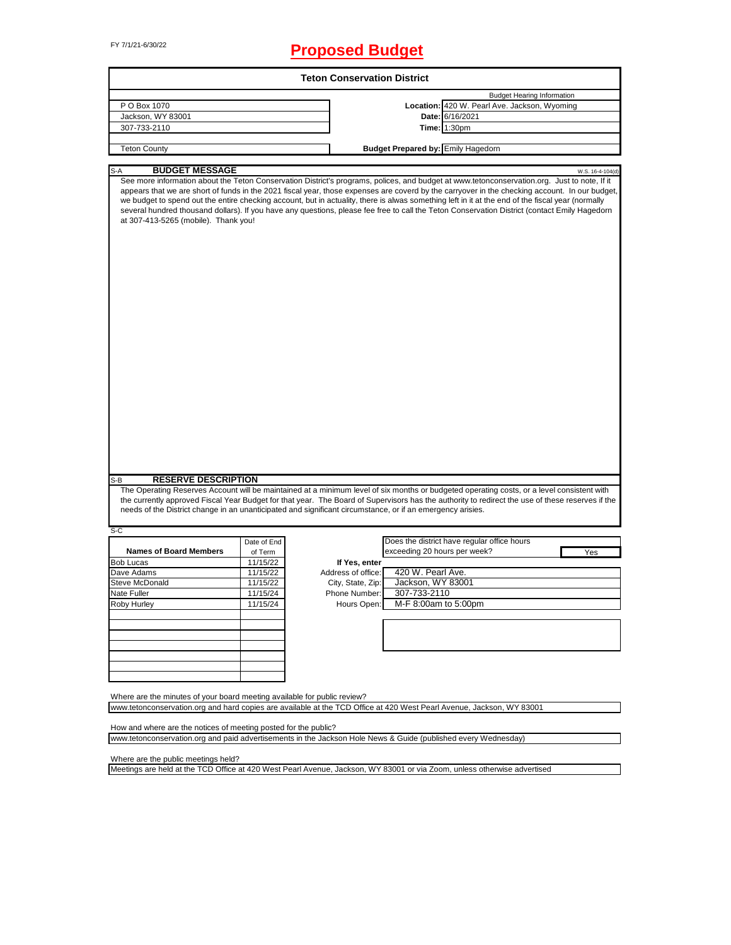# FY 7/1/21-6/30/22 **Proposed Budget**

|                                                                                              |             | <b>Teton Conservation District</b>                                                                                    |                                                                                                                                                                                                                                                                                                                                                                                                                                                                                                                                                                                                      |
|----------------------------------------------------------------------------------------------|-------------|-----------------------------------------------------------------------------------------------------------------------|------------------------------------------------------------------------------------------------------------------------------------------------------------------------------------------------------------------------------------------------------------------------------------------------------------------------------------------------------------------------------------------------------------------------------------------------------------------------------------------------------------------------------------------------------------------------------------------------------|
|                                                                                              |             |                                                                                                                       | <b>Budget Hearing Information</b>                                                                                                                                                                                                                                                                                                                                                                                                                                                                                                                                                                    |
| P O Box 1070                                                                                 |             |                                                                                                                       | Location: 420 W. Pearl Ave. Jackson, Wyoming                                                                                                                                                                                                                                                                                                                                                                                                                                                                                                                                                         |
| Jackson, WY 83001                                                                            |             | Date: 6/16/2021                                                                                                       |                                                                                                                                                                                                                                                                                                                                                                                                                                                                                                                                                                                                      |
| 307-733-2110                                                                                 |             | <b>Time: 1:30pm</b>                                                                                                   |                                                                                                                                                                                                                                                                                                                                                                                                                                                                                                                                                                                                      |
|                                                                                              |             |                                                                                                                       |                                                                                                                                                                                                                                                                                                                                                                                                                                                                                                                                                                                                      |
| <b>Teton County</b>                                                                          |             | <b>Budget Prepared by: Emily Hagedorn</b>                                                                             |                                                                                                                                                                                                                                                                                                                                                                                                                                                                                                                                                                                                      |
| <b>BUDGET MESSAGE</b><br>$S-A$                                                               |             |                                                                                                                       | W.S. 16-4-104(d)                                                                                                                                                                                                                                                                                                                                                                                                                                                                                                                                                                                     |
| at 307-413-5265 (mobile). Thank you!                                                         |             |                                                                                                                       | See more information about the Teton Conservation District's programs, polices, and budget at www.tetonconservation.org. Just to note, If it<br>appears that we are short of funds in the 2021 fiscal year, those expenses are coverd by the carryover in the checking account. In our budget,<br>we budget to spend out the entire checking account, but in actuality, there is alwas something left in it at the end of the fiscal year (normally<br>several hundred thousand dollars). If you have any questions, please fee free to call the Teton Conservation District (contact Emily Hagedorn |
|                                                                                              |             |                                                                                                                       |                                                                                                                                                                                                                                                                                                                                                                                                                                                                                                                                                                                                      |
|                                                                                              |             |                                                                                                                       |                                                                                                                                                                                                                                                                                                                                                                                                                                                                                                                                                                                                      |
| <b>RESERVE DESCRIPTION</b>                                                                   |             | needs of the District change in an unanticipated and significant circumstance, or if an emergency arisies.            | The Operating Reserves Account will be maintained at a minimum level of six months or budgeted operating costs, or a level consistent with<br>the currently approved Fiscal Year Budget for that year. The Board of Supervisors has the authority to redirect the use of these reserves if the                                                                                                                                                                                                                                                                                                       |
|                                                                                              |             |                                                                                                                       |                                                                                                                                                                                                                                                                                                                                                                                                                                                                                                                                                                                                      |
|                                                                                              | Date of End |                                                                                                                       | Does the district have regular office hours                                                                                                                                                                                                                                                                                                                                                                                                                                                                                                                                                          |
| <b>Names of Board Members</b>                                                                | of Term     | exceeding 20 hours per week?                                                                                          | Yes                                                                                                                                                                                                                                                                                                                                                                                                                                                                                                                                                                                                  |
|                                                                                              | 11/15/22    | If Yes, enter                                                                                                         |                                                                                                                                                                                                                                                                                                                                                                                                                                                                                                                                                                                                      |
|                                                                                              | 11/15/22    | 420 W. Pearl Ave.<br>Address of office:                                                                               |                                                                                                                                                                                                                                                                                                                                                                                                                                                                                                                                                                                                      |
|                                                                                              | 11/15/22    | Jackson, WY 83001<br>City, State, Zip:                                                                                |                                                                                                                                                                                                                                                                                                                                                                                                                                                                                                                                                                                                      |
|                                                                                              | 11/15/24    | 307-733-2110<br>Phone Number:                                                                                         |                                                                                                                                                                                                                                                                                                                                                                                                                                                                                                                                                                                                      |
|                                                                                              | 11/15/24    | M-F 8:00am to 5:00pm<br>Hours Open:                                                                                   |                                                                                                                                                                                                                                                                                                                                                                                                                                                                                                                                                                                                      |
|                                                                                              |             |                                                                                                                       |                                                                                                                                                                                                                                                                                                                                                                                                                                                                                                                                                                                                      |
|                                                                                              |             |                                                                                                                       |                                                                                                                                                                                                                                                                                                                                                                                                                                                                                                                                                                                                      |
|                                                                                              |             |                                                                                                                       |                                                                                                                                                                                                                                                                                                                                                                                                                                                                                                                                                                                                      |
|                                                                                              |             |                                                                                                                       |                                                                                                                                                                                                                                                                                                                                                                                                                                                                                                                                                                                                      |
|                                                                                              |             |                                                                                                                       |                                                                                                                                                                                                                                                                                                                                                                                                                                                                                                                                                                                                      |
| S-B<br>S-C<br><b>Bob Lucas</b><br>Dave Adams<br>Steve McDonald<br>Nate Fuller<br>Roby Hurley |             |                                                                                                                       |                                                                                                                                                                                                                                                                                                                                                                                                                                                                                                                                                                                                      |
| Where are the minutes of your board meeting available for public review?                     |             | www.tetonconservation.org and hard copies are available at the TCD Office at 420 West Pearl Avenue, Jackson, WY 83001 |                                                                                                                                                                                                                                                                                                                                                                                                                                                                                                                                                                                                      |

Where are the public meetings held?

Meetings are held at the TCD Office at 420 West Pearl Avenue, Jackson, WY 83001 or via Zoom, unless otherwise advertised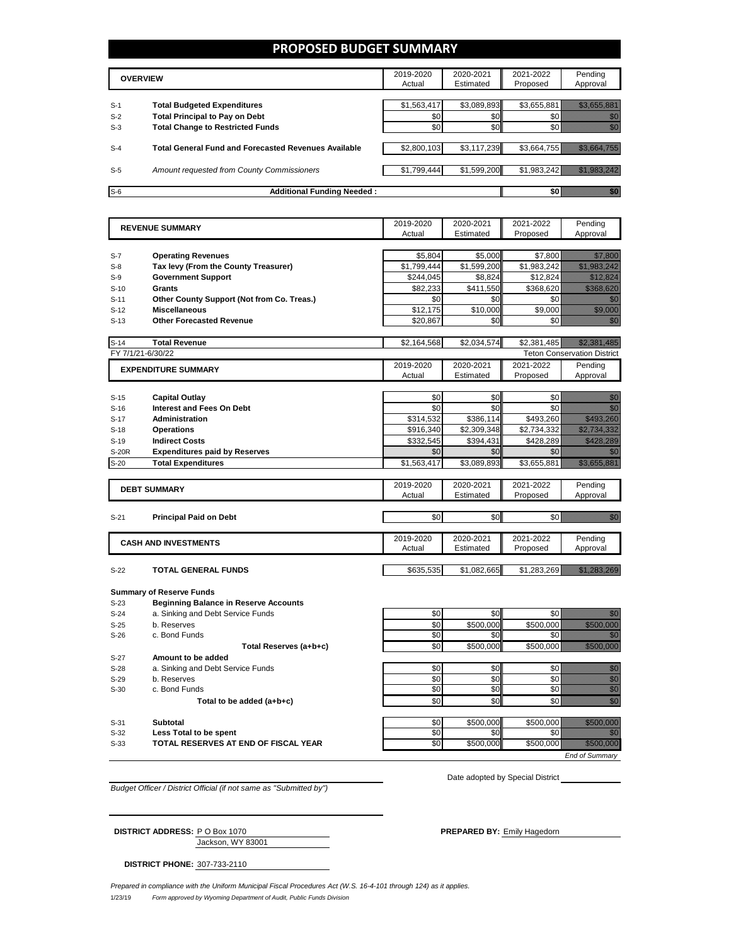## **PROPOSED BUDGET SUMMARY**

|       | <b>OVERVIEW</b>                                             | 2019-2020<br>Actual | 2020-2021<br>Estimated | 2021-2022<br>Proposed | Pending<br>Approval |
|-------|-------------------------------------------------------------|---------------------|------------------------|-----------------------|---------------------|
| $S-1$ | <b>Total Budgeted Expenditures</b>                          | \$1,563,417         | \$3,089,893            | \$3,655,881           |                     |
| $S-2$ | <b>Total Principal to Pay on Debt</b>                       | \$0                 | \$0 <sub>1</sub>       |                       |                     |
| $S-3$ | <b>Total Change to Restricted Funds</b>                     | \$0                 | \$0                    |                       |                     |
|       |                                                             |                     |                        |                       |                     |
| $S-4$ | <b>Total General Fund and Forecasted Revenues Available</b> | \$2,800,103         | \$3,117,239            | \$3,664,755           |                     |
| $S-5$ | Amount requested from County Commissioners                  | \$1,799,444         | \$1,599,200            | \$1,983,242           |                     |
| $S-6$ | <b>Additional Funding Needed:</b>                           |                     |                        | \$0                   |                     |

|                  | <b>REVENUE SUMMARY</b>                                                | 2019-2020   | 2020-2021        | 2021-2022        | Pending                                                                                                                                                                                                                                                   |
|------------------|-----------------------------------------------------------------------|-------------|------------------|------------------|-----------------------------------------------------------------------------------------------------------------------------------------------------------------------------------------------------------------------------------------------------------|
|                  |                                                                       | Actual      | Estimated        | Proposed         | Approval                                                                                                                                                                                                                                                  |
|                  |                                                                       |             |                  |                  |                                                                                                                                                                                                                                                           |
| $S-7$            | <b>Operating Revenues</b>                                             | \$5,804     | \$5,000          | \$7.800          | <u>Mille College</u>                                                                                                                                                                                                                                      |
| $S-8$            | Tax levy (From the County Treasurer)                                  | \$1,799,444 | \$1,599,200      | \$1,983,242      | <u> Hillingan yang berlapas dalam dalam dalam dalam dalam dalam dalam dalam dalam dalam dalam dalam dalam dalam </u>                                                                                                                                      |
| $S-9$            | <b>Government Support</b>                                             | \$244,045   | \$8,824          | \$12,824         | <u>Maria Santa Barat da Barat da Barat da Barat da Barat da Barat da Barat da Barat da Barat da Barat da Barat d</u>                                                                                                                                      |
| $S-10$           | <b>Grants</b>                                                         | \$82,233    | \$411,550        | \$368,620        | <u> Historian S</u>                                                                                                                                                                                                                                       |
| $S-11$           | Other County Support (Not from Co. Treas.)                            | \$0         | \$0              | \$0              | 77                                                                                                                                                                                                                                                        |
| $S-12$           | <b>Miscellaneous</b>                                                  | \$12,175    | \$10,000         | \$9,000          | <u>till för en s</u>                                                                                                                                                                                                                                      |
| $S-13$           | <b>Other Forecasted Revenue</b>                                       | \$20,867    | \$0              | \$0              | en de la forma de la forma de la forma de la forma de la forma de la forma de la forma de la forma de la forma<br>Constituir de la forma de la forma de la forma de la forma de la forma de la forma de la forma de la forma de                           |
|                  |                                                                       |             |                  |                  |                                                                                                                                                                                                                                                           |
| $S-14$           | <b>Total Revenue</b>                                                  | \$2,164,568 | \$2,034,574      | \$2,381,485      | <u> Hallis Halling</u>                                                                                                                                                                                                                                    |
|                  | FY 7/1/21-6/30/22                                                     |             |                  |                  | <b>Teton Conservation District</b>                                                                                                                                                                                                                        |
|                  | <b>EXPENDITURE SUMMARY</b>                                            | 2019-2020   | 2020-2021        | 2021-2022        | Pending                                                                                                                                                                                                                                                   |
|                  |                                                                       | Actual      | Estimated        | Proposed         | Approval                                                                                                                                                                                                                                                  |
|                  |                                                                       |             |                  |                  |                                                                                                                                                                                                                                                           |
| $S-15$           | <b>Capital Outlay</b>                                                 | \$0         | \$0              | \$0              | en de la familie de la familie de la familie de la familie de la familie de la familie de la familie de la fam<br>Concelho de la familie de la familie de la familie de la familie de la familie de la familie de la familie de                           |
| $S-16$           | <b>Interest and Fees On Debt</b>                                      | \$0         | \$0              | \$0              | an<br>Mari                                                                                                                                                                                                                                                |
| $S-17$           | <b>Administration</b>                                                 | \$314,532   | \$386,114        | \$493,260        | <u> Martin Carl</u>                                                                                                                                                                                                                                       |
| $S-18$           | <b>Operations</b>                                                     | \$916,340   | \$2,309,348      | \$2,734,332      | <u> Mariji (Mariji (Mariji (Mariji (Mariji (Mariji (Mariji (Mariji (Mariji (Mariji (Mariji (Mariji (Ma</u>                                                                                                                                                |
| $S-19$           | <b>Indirect Costs</b>                                                 | \$332,545   | \$394,431        | \$428,289        | <u>tik alaman</u>                                                                                                                                                                                                                                         |
| <b>S-20R</b>     | <b>Expenditures paid by Reserves</b>                                  | \$0         | \$0              | \$0              | en de la f                                                                                                                                                                                                                                                |
| $S-20$           | <b>Total Expenditures</b>                                             | \$1,563,417 | \$3,089,893      | \$3,655,881      |                                                                                                                                                                                                                                                           |
|                  |                                                                       |             |                  |                  |                                                                                                                                                                                                                                                           |
|                  | <b>DEBT SUMMARY</b>                                                   | 2019-2020   | 2020-2021        | 2021-2022        | Pending                                                                                                                                                                                                                                                   |
|                  |                                                                       | Actual      | Estimated        | Proposed         | Approval                                                                                                                                                                                                                                                  |
|                  |                                                                       |             |                  |                  |                                                                                                                                                                                                                                                           |
| $S-21$           | <b>Principal Paid on Debt</b>                                         | \$0         | \$0              | \$0              | ga kalendari daga kalendari daga kalendari daga kalendari daga kalendari daga kalendari daga kalendari daga ka<br>Kalendari daga kalendari daga kalendari daga kalendari daga kalendari daga kalendari daga kalendari daga kalen<br>                      |
|                  |                                                                       |             |                  |                  |                                                                                                                                                                                                                                                           |
|                  | <b>CASH AND INVESTMENTS</b>                                           | 2019-2020   | 2020-2021        | 2021-2022        | Pending                                                                                                                                                                                                                                                   |
|                  |                                                                       | Actual      | Estimated        | Proposed         | Approval                                                                                                                                                                                                                                                  |
|                  |                                                                       |             |                  |                  |                                                                                                                                                                                                                                                           |
| $S-22$           | <b>TOTAL GENERAL FUNDS</b>                                            | \$635,535   | \$1,082,665      | \$1,283,269      | <u> Kabupatèn Tanah Bandaran Sura</u>                                                                                                                                                                                                                     |
|                  |                                                                       |             |                  |                  |                                                                                                                                                                                                                                                           |
|                  | <b>Summary of Reserve Funds</b>                                       |             |                  |                  |                                                                                                                                                                                                                                                           |
| $S-23$           | <b>Beginning Balance in Reserve Accounts</b>                          |             |                  |                  |                                                                                                                                                                                                                                                           |
| $S-24$           | a. Sinking and Debt Service Funds                                     | \$0         | \$0              | \$0              | e di Barco                                                                                                                                                                                                                                                |
| $S-25$           | b. Reserves                                                           | \$0<br>\$0  | \$500,000<br>\$0 | \$500,000<br>\$0 | <u> Historia (</u>                                                                                                                                                                                                                                        |
| $S-26$           | c. Bond Funds                                                         |             |                  |                  |                                                                                                                                                                                                                                                           |
|                  | Total Reserves (a+b+c)                                                | \$0         | \$500.000        | \$500,000        | <b>Harristown States Book</b>                                                                                                                                                                                                                             |
| $S-27$           | Amount to be added                                                    |             |                  |                  |                                                                                                                                                                                                                                                           |
| $S-28$           | a. Sinking and Debt Service Funds                                     | \$0         | \$0              | \$0              | en de la provincia de la construcción de la construcción de la construcción de la construcción de la construcc<br>Construcción                                                                                                                            |
| $S-29$           | b. Reserves                                                           | \$0         | \$0              | \$0              |                                                                                                                                                                                                                                                           |
| $S-30$           | c. Bond Funds                                                         | \$0         | \$0              | \$0              |                                                                                                                                                                                                                                                           |
|                  | Total to be added (a+b+c)                                             | \$0         | \$0              | \$0              | en de la filòlogía<br>Marcola                                                                                                                                                                                                                             |
|                  |                                                                       |             |                  |                  | <u> Historian Sta</u>                                                                                                                                                                                                                                     |
| $S-31$           |                                                                       |             |                  |                  |                                                                                                                                                                                                                                                           |
|                  | Subtotal                                                              | \$0         | \$500,000        | \$500,000        |                                                                                                                                                                                                                                                           |
| $S-32$<br>$S-33$ | Less Total to be spent<br><b>TOTAL RESERVES AT END OF FISCAL YEAR</b> | \$0<br>\$0  | \$0<br>\$500,000 | \$0<br>\$500,000 | en de la familie de la familie de la familie de la familie de la familie de la familie de la familie de la fa<br>Constitution de la familie de la familie de la familie de la familie de la familie de la familie de la familie<br><u> Harry Constant</u> |

*Budget Officer / District Official (if not same as "Submitted by")*

Date adopted by Special District

*End of Summary*

| <b>DISTRICT ADDRESS: PO Box 1070</b> | <b>PREPARED BY: Emily Hagedorn</b> |
|--------------------------------------|------------------------------------|
| Jackson, WY 83001                    |                                    |

**DISTRICT PHONE:** 307-733-2110

1/23/19 *Form approved by Wyoming Department of Audit, Public Funds Division Prepared in compliance with the Uniform Municipal Fiscal Procedures Act (W.S. 16-4-101 through 124) as it applies.*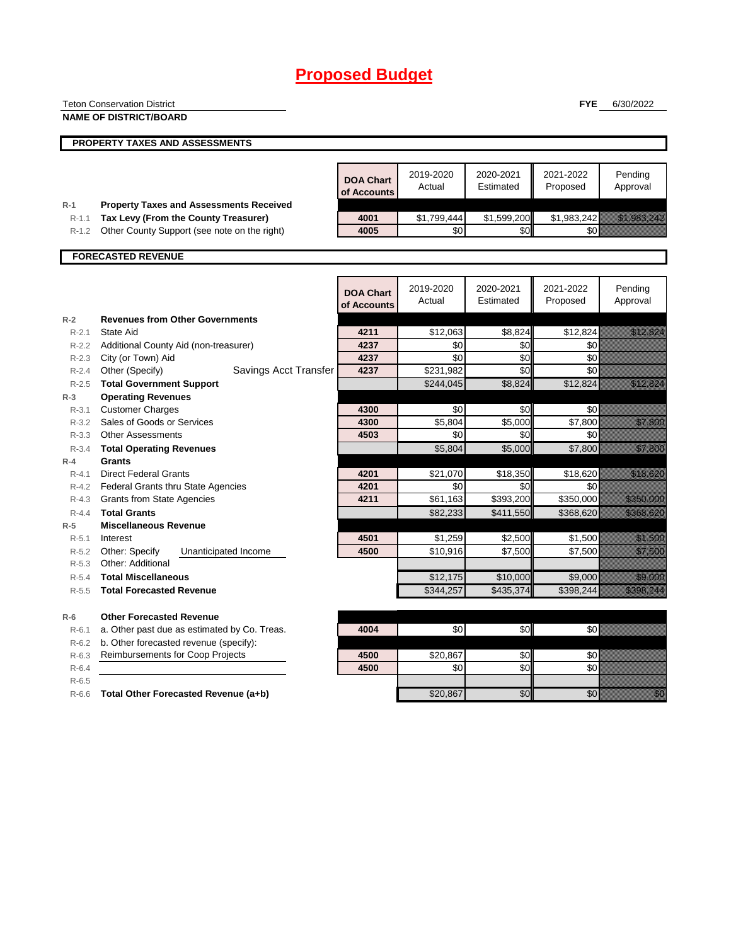|                    | <b>Teton Conservation District</b>                 |                  |             |             | <b>FYE</b>  | 6/30/2022                                                                                                                                                                                                                       |
|--------------------|----------------------------------------------------|------------------|-------------|-------------|-------------|---------------------------------------------------------------------------------------------------------------------------------------------------------------------------------------------------------------------------------|
|                    | <b>NAME OF DISTRICT/BOARD</b>                      |                  |             |             |             |                                                                                                                                                                                                                                 |
|                    |                                                    |                  |             |             |             |                                                                                                                                                                                                                                 |
|                    | PROPERTY TAXES AND ASSESSMENTS                     |                  |             |             |             |                                                                                                                                                                                                                                 |
|                    |                                                    |                  |             |             |             |                                                                                                                                                                                                                                 |
|                    |                                                    | <b>DOA Chart</b> | 2019-2020   | 2020-2021   | 2021-2022   | Pending                                                                                                                                                                                                                         |
|                    |                                                    | of Accounts      | Actual      | Estimated   | Proposed    | Approval                                                                                                                                                                                                                        |
| $R-1$              | <b>Property Taxes and Assessments Received</b>     |                  |             |             |             |                                                                                                                                                                                                                                 |
| $R-1.1$            | Tax Levy (From the County Treasurer)               | 4001             | \$1,799,444 | \$1,599,200 | \$1,983,242 | <u> Hillingan yang beradapat dalam bagi dalam dalam bagi dalam bagi dalam bagi dalam bagi dalam bagi dalam bagi d</u>                                                                                                           |
| $R-1.2$            | Other County Support (see note on the right)       | 4005             | \$0         | \$0         | \$0         |                                                                                                                                                                                                                                 |
|                    |                                                    |                  |             |             |             |                                                                                                                                                                                                                                 |
|                    | <b>FORECASTED REVENUE</b>                          |                  |             |             |             |                                                                                                                                                                                                                                 |
|                    |                                                    |                  |             |             |             |                                                                                                                                                                                                                                 |
|                    |                                                    | <b>DOA Chart</b> | 2019-2020   | 2020-2021   | 2021-2022   | Pending                                                                                                                                                                                                                         |
|                    |                                                    | of Accounts      | Actual      | Estimated   | Proposed    | Approval                                                                                                                                                                                                                        |
| $R-2$              | <b>Revenues from Other Governments</b>             |                  |             |             |             |                                                                                                                                                                                                                                 |
| $R - 2.1$          | <b>State Aid</b>                                   | 4211             | \$12,063    | \$8,824     | \$12,824    | <u> Elizabeth C</u>                                                                                                                                                                                                             |
|                    | R-2.2 Additional County Aid (non-treasurer)        | 4237             | \$0         | \$0         | \$0         |                                                                                                                                                                                                                                 |
| $R - 2.3$          | City (or Town) Aid                                 | 4237             | \$0         | \$0         | \$0         |                                                                                                                                                                                                                                 |
| R-2.4              | Other (Specify)<br>Savings Acct Transfer           | 4237             | \$231,982   | \$0         | \$0         |                                                                                                                                                                                                                                 |
| R-2.5              | <b>Total Government Support</b>                    |                  | \$244,045   | \$8,824     | \$12,824    | <u>esta la provincia del conte</u>                                                                                                                                                                                              |
| $R-3$              | <b>Operating Revenues</b>                          |                  |             |             |             |                                                                                                                                                                                                                                 |
| $R - 3.1$          | <b>Customer Charges</b>                            | 4300             | \$0         | \$0         | \$0         |                                                                                                                                                                                                                                 |
| $R - 3.2$          | Sales of Goods or Services                         | 4300             | \$5,804     | \$5,000     | \$7,800     | <u>tillisest</u>                                                                                                                                                                                                                |
| $R - 3.3$          | <b>Other Assessments</b>                           | 4503             | \$0         | \$0         | \$0         |                                                                                                                                                                                                                                 |
| $R - 3.4$          | <b>Total Operating Revenues</b>                    |                  | \$5,804     | \$5,000     | \$7,800     | <u>elitika k</u>                                                                                                                                                                                                                |
| $R-4$              | <b>Grants</b>                                      |                  |             |             |             |                                                                                                                                                                                                                                 |
| $R - 4.1$          | <b>Direct Federal Grants</b>                       | 4201             | \$21,070    | \$18,350    | \$18,620    | <u> Hillian San Baratasan San Baratasa Sara</u>                                                                                                                                                                                 |
| R-4.2              | Federal Grants thru State Agencies                 | 4201             | \$0         | \$0         | \$0         |                                                                                                                                                                                                                                 |
| $R - 4.3$          | <b>Grants from State Agencies</b>                  | 4211             | \$61,163    | \$393,200   | \$350,000   | <u>elik kulturalar</u>                                                                                                                                                                                                          |
| $R - 4.4$          | <b>Total Grants</b>                                |                  | \$82,233    | \$411,550   | \$368,620   | <u> Karamanan Sara</u>                                                                                                                                                                                                          |
| $R-5$              | <b>Miscellaneous Revenue</b>                       | 4501             | \$1,259     | \$2,500     | \$1,500     |                                                                                                                                                                                                                                 |
| $R - 5.1$<br>R-5.2 | Interest<br>Other: Specify<br>Unanticipated Income | 4500             | \$10,916    | \$7,500     | \$7,500     | <u>till framförfa</u><br><u>elittiin ku</u>                                                                                                                                                                                     |
| $R - 5.3$          | Other: Additional                                  |                  |             |             |             |                                                                                                                                                                                                                                 |
| $R-5.4$            | <b>Total Miscellaneous</b>                         |                  | \$12,175    | \$10,000    | \$9,000     | <u>tion and a strong the strong strong</u>                                                                                                                                                                                      |
| $R-5.5$            | <b>Total Forecasted Revenue</b>                    |                  | \$344,257   | \$435,374   | \$398,244   | <u>tiko kultura</u>                                                                                                                                                                                                             |
|                    |                                                    |                  |             |             |             |                                                                                                                                                                                                                                 |
| $R-6$              | <b>Other Forecasted Revenue</b>                    |                  |             |             |             |                                                                                                                                                                                                                                 |
| $R-6.1$            | a. Other past due as estimated by Co. Treas.       | 4004             | \$0         | \$0         | \$0         |                                                                                                                                                                                                                                 |
| R-6.2              | b. Other forecasted revenue (specify):             |                  |             |             |             |                                                                                                                                                                                                                                 |
| $R-6.3$            | <b>Reimbursements for Coop Projects</b>            | 4500             | \$20,867    | \$0         | \$0         |                                                                                                                                                                                                                                 |
| $R-6.4$            |                                                    | 4500             | \$0         | \$0         | \$0         |                                                                                                                                                                                                                                 |
| $R-6.5$            |                                                    |                  |             |             |             |                                                                                                                                                                                                                                 |
| $R-6.6$            | Total Other Forecasted Revenue (a+b)               |                  | \$20,867    | \$0         | \$0         | en de la familie de la familie de la familie de la familie de la familie de la familie de la familie de la fa<br>Constitution de la familie de la familie de la familie de la familie de la familie de la familie de la familie |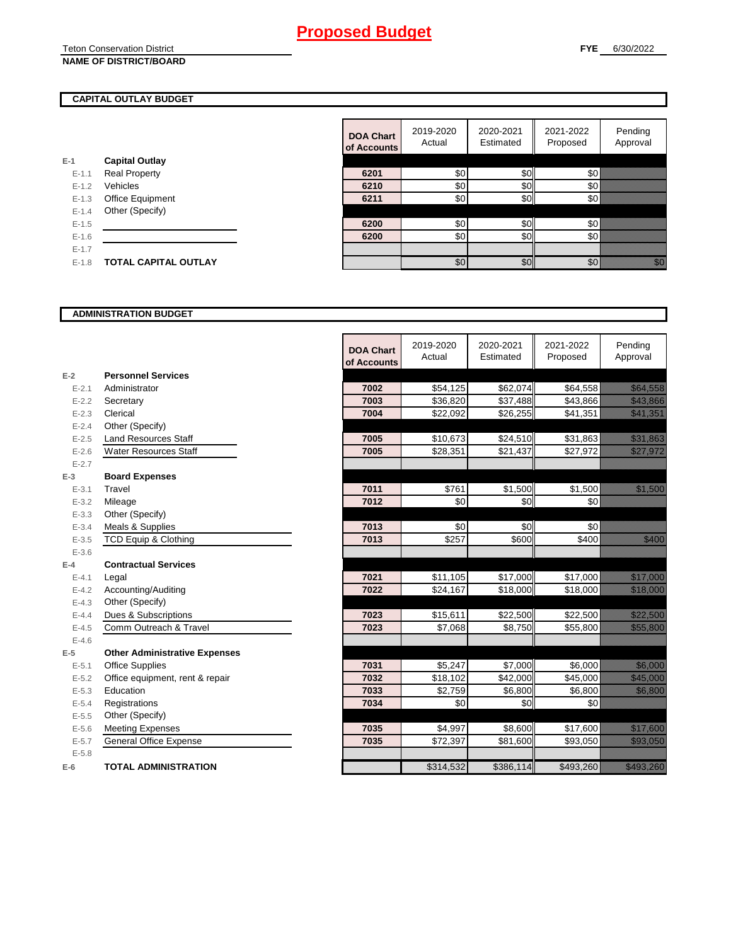Teton Conservation District

## **NAME OF DISTRICT/BOARD**

## **CAPITAL OUTLAY BUDGET**

| <b>Capital Outlay</b><br>Real Property<br>$F-11$<br>Vehicles<br>$F-12$<br>Office Equipment<br>$F-1.3$<br>Other (Specify)<br>$F-14$<br>$F-1.5$<br>$F-16$<br>$F-17$<br>TOTAL CAPITAL OUTLAY<br>$F-1.8$ |     |  |
|------------------------------------------------------------------------------------------------------------------------------------------------------------------------------------------------------|-----|--|
|                                                                                                                                                                                                      | E-1 |  |
|                                                                                                                                                                                                      |     |  |
|                                                                                                                                                                                                      |     |  |
|                                                                                                                                                                                                      |     |  |
|                                                                                                                                                                                                      |     |  |
|                                                                                                                                                                                                      |     |  |
|                                                                                                                                                                                                      |     |  |
|                                                                                                                                                                                                      |     |  |
|                                                                                                                                                                                                      |     |  |

|           |                             | <b>DOA Chart</b><br>of Accounts | 2019-2020<br>Actual | 2020-2021<br>Estimated | 2021-2022<br>Proposed | Pending<br>Approval                                                                                                           |
|-----------|-----------------------------|---------------------------------|---------------------|------------------------|-----------------------|-------------------------------------------------------------------------------------------------------------------------------|
|           | <b>Capital Outlay</b>       |                                 |                     |                        |                       |                                                                                                                               |
| $E - 1.1$ | <b>Real Property</b>        | 6201                            | \$0                 | \$0                    | \$0                   |                                                                                                                               |
| $E - 1.2$ | Vehicles                    | 6210                            | \$0                 | \$0                    | \$0                   |                                                                                                                               |
| $E-1.3$   | Office Equipment            | 6211                            | \$0                 | \$0                    | <b>\$0</b>            |                                                                                                                               |
| $E - 1.4$ | Other (Specify)             |                                 |                     |                        |                       |                                                                                                                               |
| $E-1.5$   |                             | 6200                            | \$0                 | \$0                    | \$0∤                  |                                                                                                                               |
| $E - 1.6$ |                             | 6200                            | \$0                 | \$0                    | 30 <sup>l</sup>       |                                                                                                                               |
| $E - 1.7$ |                             |                                 |                     |                        |                       |                                                                                                                               |
| $E-1.8$   | <b>TOTAL CAPITAL OUTLAY</b> |                                 | \$0                 | \$0                    | \$0                   | en de la filosofon de la filosofon de la filosofon de la filosofon de la filosofon de la filosofon de la filo<br>Contradición |

#### **ADMINISTRATION BUDGET**

|           |                                      | <b>DOA Chart</b><br>of Accounts | 2019-2020<br>Actual | 2020-2021<br>Estimated | 2021-2022<br>Proposed | Pending<br>Approval                                                                                                                 |
|-----------|--------------------------------------|---------------------------------|---------------------|------------------------|-----------------------|-------------------------------------------------------------------------------------------------------------------------------------|
| $E-2$     | <b>Personnel Services</b>            |                                 |                     |                        |                       |                                                                                                                                     |
| $E - 2.1$ | Administrator                        | 7002                            | \$54,125            | \$62,074               | \$64,558              | a a chuid ann an chuid ann an chuid ann an chuid ann an chuid ann an chuid ann an chuid ann an chuid ann an ch                      |
| $E-2.2$   | Secretary                            | 7003                            | \$36,820            | \$37,488               | $\overline{$43,866}$  | <u>elitika kontrolle</u>                                                                                                            |
| $E - 2.3$ | Clerical                             | 7004                            | \$22,092            | \$26,255               | \$41,351              | <u> Mariji (</u>                                                                                                                    |
| $E - 2.4$ | Other (Specify)                      |                                 |                     |                        |                       |                                                                                                                                     |
| $E - 2.5$ | <b>Land Resources Staff</b>          | 7005                            | \$10,673            | \$24,510               | \$31,863              | <u>e de la construcción de la construcción de la construcción de la construcción de la construcción de la constru</u>               |
| $E - 2.6$ | <b>Water Resources Staff</b>         | 7005                            | \$28,351            | \$21,437               | \$27,972              | <u>till allreadin</u>                                                                                                               |
| $E - 2.7$ |                                      |                                 |                     |                        |                       |                                                                                                                                     |
| $E-3$     | <b>Board Expenses</b>                |                                 |                     |                        |                       |                                                                                                                                     |
| $E - 3.1$ | Travel                               | 7011                            | \$761               | \$1,500                | \$1,500               | <u> Karlingan Sa</u>                                                                                                                |
| $E - 3.2$ | Mileage                              | 7012                            | \$0                 | \$0                    | \$0                   |                                                                                                                                     |
| $E - 3.3$ | Other (Specify)                      |                                 |                     |                        |                       |                                                                                                                                     |
| $E - 3.4$ | Meals & Supplies                     | 7013                            | \$0                 | \$0                    | \$0                   |                                                                                                                                     |
| $E - 3.5$ | <b>TCD Equip &amp; Clothing</b>      | 7013                            | \$257               | \$600                  | \$400                 | <u>till fra</u>                                                                                                                     |
| $E - 3.6$ |                                      |                                 |                     |                        |                       |                                                                                                                                     |
| $E-4$     | <b>Contractual Services</b>          |                                 |                     |                        |                       |                                                                                                                                     |
| $E - 4.1$ | Legal                                | 7021                            | \$11,105            | \$17,000               | \$17,000              | a katika katika katika katika ali                                                                                                   |
| $E - 4.2$ | Accounting/Auditing                  | 7022                            | \$24,167            | \$18,000               | \$18,000              | <u> Karl Sara</u>                                                                                                                   |
| $E - 4.3$ | Other (Specify)                      |                                 |                     |                        |                       |                                                                                                                                     |
| $E - 4.4$ | Dues & Subscriptions                 | 7023                            | \$15,611            | \$22,500               | \$22,500              | <u>ikaan kuninga kuningan kuningan kuningan kuningan kuningan kuningan kuningan kuningan kuningan kuningan kuning</u>               |
| $E - 4.5$ | Comm Outreach & Travel               | 7023                            | \$7,068             | \$8,750                | \$55,800              | <b>Maria Maria Bara</b>                                                                                                             |
| $E-4.6$   |                                      |                                 |                     |                        |                       |                                                                                                                                     |
| $E-5$     | <b>Other Administrative Expenses</b> |                                 |                     |                        |                       |                                                                                                                                     |
| $E - 5.1$ | <b>Office Supplies</b>               | 7031                            | \$5,247             | \$7,000                | \$6,000               | <u>ti serialdi se</u>                                                                                                               |
| $E-5.2$   | Office equipment, rent & repair      | 7032                            | \$18,102            | \$42,000               | \$45,000              | <u> Karl Maria Sa</u>                                                                                                               |
| $E-5.3$   | Education                            | 7033                            | \$2,759             | \$6,800                | \$6,800               | <u> Harry College and</u>                                                                                                           |
| $E - 5.4$ | Registrations                        | 7034                            | \$0                 | \$0                    | \$0                   |                                                                                                                                     |
| $E - 5.5$ | Other (Specify)                      |                                 |                     |                        |                       |                                                                                                                                     |
| $E-5.6$   | <b>Meeting Expenses</b>              | 7035                            | \$4,997             | \$8,600                | \$17,600              | <u>elitika ko</u>                                                                                                                   |
| $E - 5.7$ | <b>General Office Expense</b>        | 7035                            | \$72,397            | \$81,600               | \$93,050              | <u>tin ka</u>                                                                                                                       |
| $E - 5.8$ |                                      |                                 |                     |                        |                       |                                                                                                                                     |
| $E-6$     | <b>TOTAL ADMINISTRATION</b>          |                                 | \$314,532           | \$386,114              | \$493,260             | <u>elitelik kontrollerin kontrollerin kontrollerin kontrollerin kontrollerin kontrollerin kontrollerin kontrol</u> ler<br>Etimologi |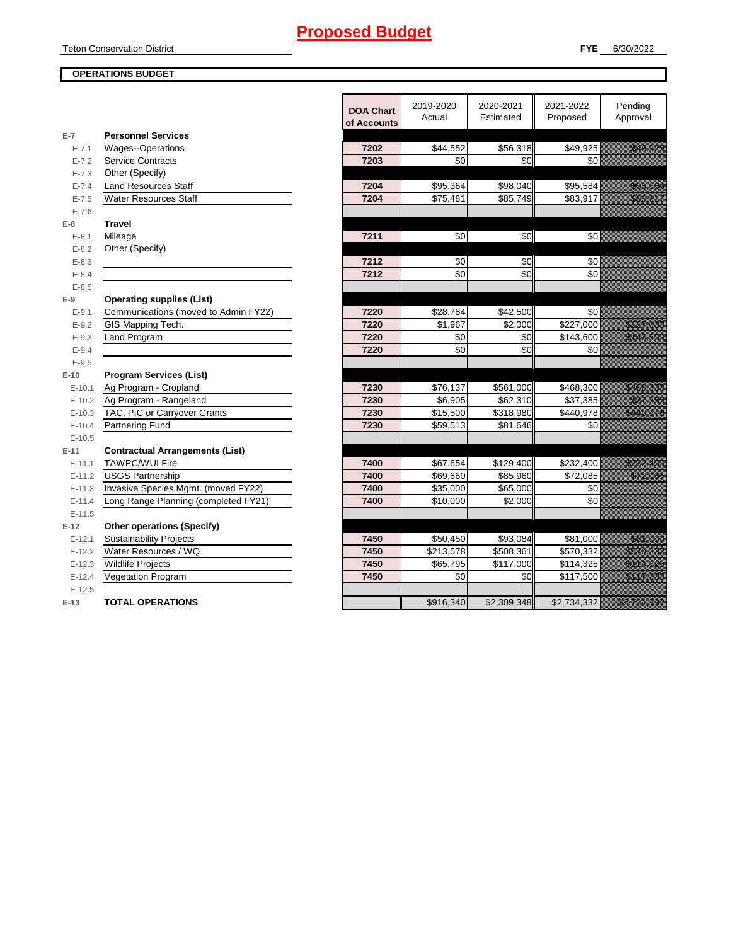Teton Conservation District

## **OPERATIONS BUDGET**

|            |                                        | <b>DOA Chart</b><br>of Accounts | 2019-2020<br>Actual | 2020-2021<br>Estimated | 2021-2022<br>Proposed | Pendina<br>Approval                                                                                                  |
|------------|----------------------------------------|---------------------------------|---------------------|------------------------|-----------------------|----------------------------------------------------------------------------------------------------------------------|
| $E-7$      | <b>Personnel Services</b>              |                                 |                     |                        |                       |                                                                                                                      |
| $E - 7.1$  | Wages--Operations                      | 7202                            | \$44,552            | \$56,318               | \$49,925              | <u>i ka</u>                                                                                                          |
| $E - 7.2$  | <b>Service Contracts</b>               | 7203                            | \$0                 | \$0                    | \$0                   |                                                                                                                      |
| $E - 7.3$  | Other (Specify)                        |                                 |                     |                        |                       |                                                                                                                      |
| $E - 7.4$  | <b>Land Resources Staff</b>            | 7204                            | \$95,364            | \$98,040               | \$95,584              | <u>i serialistikan pa</u>                                                                                            |
| $E - 7.5$  | <b>Water Resources Staff</b>           | 7204                            | \$75,481            | \$85,749               | \$83,917              | <u>i serialistika pa</u>                                                                                             |
| $E - 7.6$  |                                        |                                 |                     |                        |                       |                                                                                                                      |
| $E-8$      | <b>Travel</b>                          |                                 |                     |                        |                       |                                                                                                                      |
| $E - 8.1$  | Mileage                                | 7211                            | \$0                 | \$0                    | \$0                   |                                                                                                                      |
| $E - 8.2$  | Other (Specify)                        |                                 |                     |                        |                       |                                                                                                                      |
| $E - 8.3$  |                                        | 7212                            | \$0                 | \$0                    | \$0                   |                                                                                                                      |
| $E - 8.4$  |                                        | 7212                            | \$0                 | \$0                    | \$0                   |                                                                                                                      |
| $E - 8.5$  |                                        |                                 |                     |                        |                       |                                                                                                                      |
| $E-9$      | <b>Operating supplies (List)</b>       |                                 |                     |                        |                       |                                                                                                                      |
| $E-9.1$    | Communications (moved to Admin FY22)   | 7220                            | \$28,784            | \$42,500               | \$0                   |                                                                                                                      |
| $E - 9.2$  | GIS Mapping Tech.                      | 7220                            | \$1,967             | \$2,000                | \$227,000             | <u> Killillille konstru</u>                                                                                          |
| $E-9.3$    | Land Program                           | 7220                            | \$0                 | \$0                    | \$143,600             | <u> Kabupatèn Tanah Bandaran Bandaran Sura</u>                                                                       |
| $E - 9.4$  |                                        | 7220                            | \$0                 | \$0                    | \$0                   |                                                                                                                      |
| $E-9.5$    |                                        |                                 |                     |                        |                       |                                                                                                                      |
| $E-10$     | <b>Program Services (List)</b>         |                                 |                     |                        |                       |                                                                                                                      |
| $E-10.1$   | Ag Program - Cropland                  | 7230                            | \$76,137            | \$561,000              | \$468,300             | <u> Kabupatèn Tanah Bandaran Sura</u>                                                                                |
| $E-10.2$   | Ag Program - Rangeland                 | 7230                            | \$6,905             | \$62,310               | \$37,385              | <u> Kalifornia ko</u>                                                                                                |
| $E-10.3$   | TAC, PIC or Carryover Grants           | 7230                            | \$15,500            | \$318,980              | \$440,978             | <u> Kalèndher Ka</u>                                                                                                 |
| $E-10.4$   | Partnering Fund                        | 7230                            | \$59,513            | \$81,646               | \$0                   |                                                                                                                      |
| $E-10.5$   |                                        |                                 |                     |                        |                       |                                                                                                                      |
| $E-11$     | <b>Contractual Arrangements (List)</b> |                                 |                     |                        |                       |                                                                                                                      |
| $E-11.1$   | <b>TAWPC/WUI Fire</b>                  | 7400                            | \$67,654            | \$129,400              | \$232,400             | <u>tika kultura da a</u>                                                                                             |
| $E - 11.2$ | <b>USGS Partnership</b>                | 7400                            | \$69,660            | \$85,960               | \$72,085              | <u> Hillingan yang berasala</u>                                                                                      |
| $E-11.3$   | Invasive Species Mgmt. (moved FY22)    | 7400                            | \$35,000            | \$65,000               | $\sqrt{6}$            |                                                                                                                      |
| $E-11.4$   | Long Range Planning (completed FY21)   | 7400                            | \$10,000            | \$2,000                | \$0                   |                                                                                                                      |
| $E-11.5$   |                                        |                                 |                     |                        |                       |                                                                                                                      |
| $E-12$     | <b>Other operations (Specify)</b>      |                                 |                     |                        |                       |                                                                                                                      |
| $E-12.1$   | <b>Sustainability Projects</b>         | 7450                            | \$50,450            | \$93,084               | \$81,000              | <u>ti sedan pa</u>                                                                                                   |
| $E-12.2$   | Water Resources / WQ                   | 7450                            | \$213,578           | \$508,361              | \$570,332             | <u> Kabupatèn Ta</u>                                                                                                 |
| $E-12.3$   | <b>Wildlife Projects</b>               | 7450                            | \$65,795            | \$117,000              | \$114,325             | <u>tika kuningan di kacamatan di kacamatan di kacamatan di kacamatan di kacamatan di kacamatan di kacamatan di k</u> |
| $E-12.4$   | <b>Vegetation Program</b>              | 7450                            | \$0                 | \$0                    | \$117,500             | <u> Kabupatèn Tidak Bandaran Sura</u>                                                                                |
| $E-12.5$   |                                        |                                 |                     |                        |                       |                                                                                                                      |
| $E-13$     | <b>TOTAL OPERATIONS</b>                |                                 | \$916,340           | \$2,309,348            | \$2,734,332           |                                                                                                                      |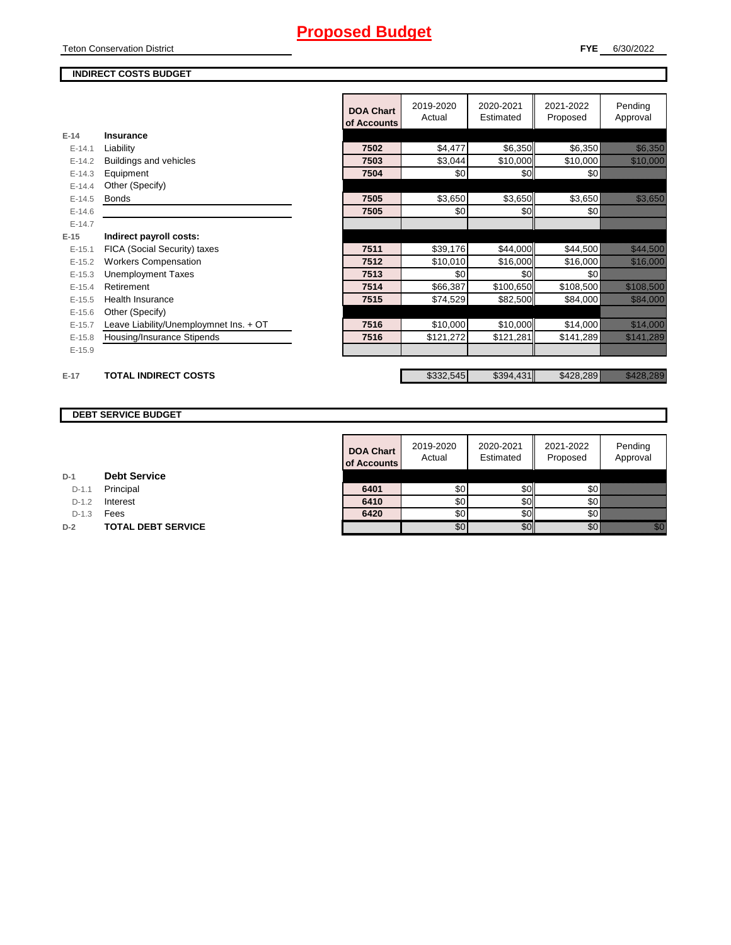Teton Conservation District

## **INDIRECT COSTS BUDGET**

|          |                                        | <b>DOA Chart</b><br>of Accounts | 2019-2020<br>Actual | 2020-2021<br>Estimated | 2021-2022<br>Proposed | Pending<br>Approval          |
|----------|----------------------------------------|---------------------------------|---------------------|------------------------|-----------------------|------------------------------|
| $E-14$   | Insurance                              |                                 |                     |                        |                       |                              |
| $E-14.1$ | Liability                              | 7502                            | \$4,477             | \$6,350                | \$6,350               | <u> Kalifornia (</u>         |
| $E-14.2$ | Buildings and vehicles                 | 7503                            | \$3,044             | \$10,000               | \$10,000              | <u> Maria Sant</u>           |
| $E-14.3$ | Equipment                              | 7504                            | \$0                 | \$0                    | 30 <sup>l</sup>       |                              |
| $E-14.4$ | Other (Specify)                        |                                 |                     |                        |                       |                              |
| $E-14.5$ | <b>Bonds</b>                           | 7505                            | \$3,650             | \$3,650                | \$3,650               | <u> Karl Sara</u>            |
| $E-14.6$ |                                        | 7505                            | \$0                 | \$0                    | 30 <sup>8</sup>       |                              |
| $E-14.7$ |                                        |                                 |                     |                        |                       |                              |
| $E-15$   | Indirect payroll costs:                |                                 |                     |                        |                       |                              |
| $E-15.1$ | FICA (Social Security) taxes           | 7511                            | \$39,176            | \$44,000               | \$44,500              | <u> Karl Sara</u>            |
| $E-15.2$ | <b>Workers Compensation</b>            | 7512                            | \$10,010            | \$16,000               | \$16,000              | <u> Mariji (</u>             |
| $E-15.3$ | <b>Unemployment Taxes</b>              | 7513                            | \$0                 | \$0                    | \$0                   |                              |
| $E-15.4$ | Retirement                             | 7514                            | \$66,387            | \$100,650              | \$108,500             | <u> Elizabeth Carl</u>       |
| $E-15.5$ | <b>Health Insurance</b>                | 7515                            | \$74,529            | \$82,500               | \$84,000              | <b>Range Communication</b>   |
| $E-15.6$ | Other (Specify)                        |                                 |                     |                        |                       |                              |
| $E-15.7$ | Leave Liability/Unemploymnet Ins. + OT | 7516                            | \$10,000            | \$10,000               | \$14,000              | <u> Karl Sara</u>            |
| $E-15.8$ | Housing/Insurance Stipends             | 7516                            | \$121,272           | \$121,281              | \$141,289             | <u>Timolling</u>             |
| $E-15.9$ |                                        |                                 |                     |                        |                       |                              |
|          |                                        |                                 |                     |                        |                       |                              |
| $E-17$   | <b>TOTAL INDIRECT COSTS</b>            |                                 | \$332,545           | \$394,431              | \$428,289             | <u> Kalifornia (h. 1888)</u> |
|          |                                        |                                 |                     |                        |                       |                              |

## **DEBT SERVICE BUDGET**

|         |                           | <b>DOA Chart</b><br>of Accounts | 2019-2020<br>Actual | 2020-2021<br>Estimated | 2021-2022<br>Proposed | Pending<br>Approval |
|---------|---------------------------|---------------------------------|---------------------|------------------------|-----------------------|---------------------|
|         | <b>Debt Service</b>       |                                 |                     |                        |                       |                     |
| $D-1.1$ | Principal                 | 6401                            | \$0                 | \$OII                  | \$0 I                 |                     |
| $D-1.2$ | Interest                  | 6410                            | \$0                 | \$0                    | \$0                   |                     |
| $D-1.3$ | Fees                      | 6420                            | \$0                 | \$٥Ι                   | \$0 k                 |                     |
|         | <b>TOTAL DEBT SERVICE</b> |                                 | \$0                 | \$0                    | \$0                   |                     |

**D-1 Debt Service**

D-1.1 **Principal** 

D-1.2 **Interest** 

**D-2 TOTAL DEBT SERVICE**